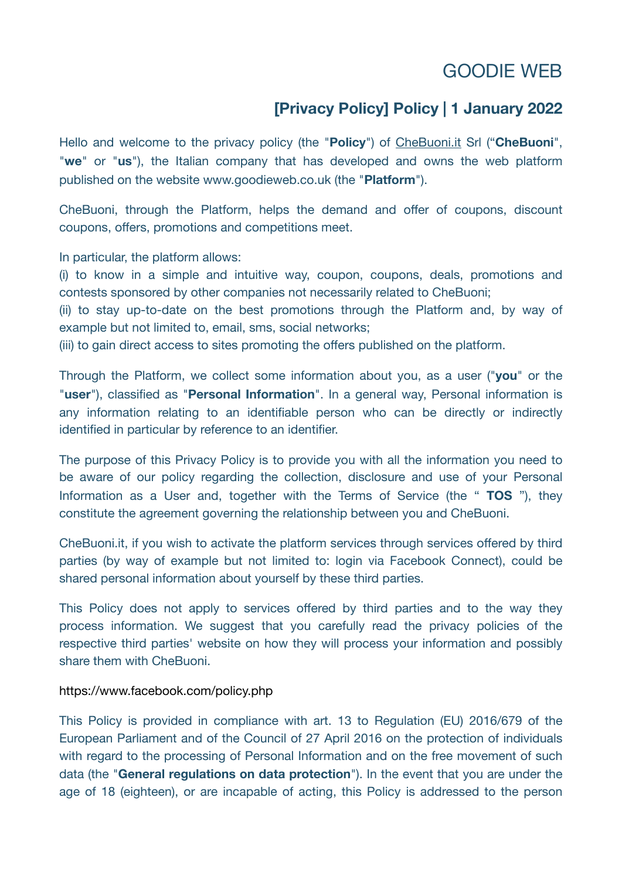# GOODIE WEB

## **[Privacy Policy] Policy | 1 January 2022**

Hello and welcome to the privacy policy (the "**Policy**") of [CheBuoni.it](http://CheBuoni.it) Srl ("**CheBuoni**", "**we**" or "**us**"), the Italian company that has developed and owns the web platform published on the website www.goodieweb.co.uk (the "**Platform**").

CheBuoni, through the Platform, helps the demand and offer of coupons, discount coupons, offers, promotions and competitions meet.

In particular, the platform allows:

(i) to know in a simple and intuitive way, coupon, coupons, deals, promotions and contests sponsored by other companies not necessarily related to CheBuoni;

(ii) to stay up-to-date on the best promotions through the Platform and, by way of example but not limited to, email, sms, social networks;

(iii) to gain direct access to sites promoting the offers published on the platform.

Through the Platform, we collect some information about you, as a user ("**you**" or the "**user**"), classified as "**Personal Information**". In a general way, Personal information is any information relating to an identifiable person who can be directly or indirectly identified in particular by reference to an identifier.

The purpose of this Privacy Policy is to provide you with all the information you need to be aware of our policy regarding the collection, disclosure and use of your Personal Information as a User and, together with the Terms of Service (the " **TOS** "), they constitute the agreement governing the relationship between you and CheBuoni.

CheBuoni.it, if you wish to activate the platform services through services offered by third parties (by way of example but not limited to: login via Facebook Connect), could be shared personal information about yourself by these third parties.

This Policy does not apply to services offered by third parties and to the way they process information. We suggest that you carefully read the privacy policies of the respective third parties' website on how they will process your information and possibly share them with CheBuoni.

#### https://www.facebook.com/policy.php

This Policy is provided in compliance with art. 13 to Regulation (EU) 2016/679 of the European Parliament and of the Council of 27 April 2016 on the protection of individuals with regard to the processing of Personal Information and on the free movement of such data (the "**General regulations on data protection**"). In the event that you are under the age of 18 (eighteen), or are incapable of acting, this Policy is addressed to the person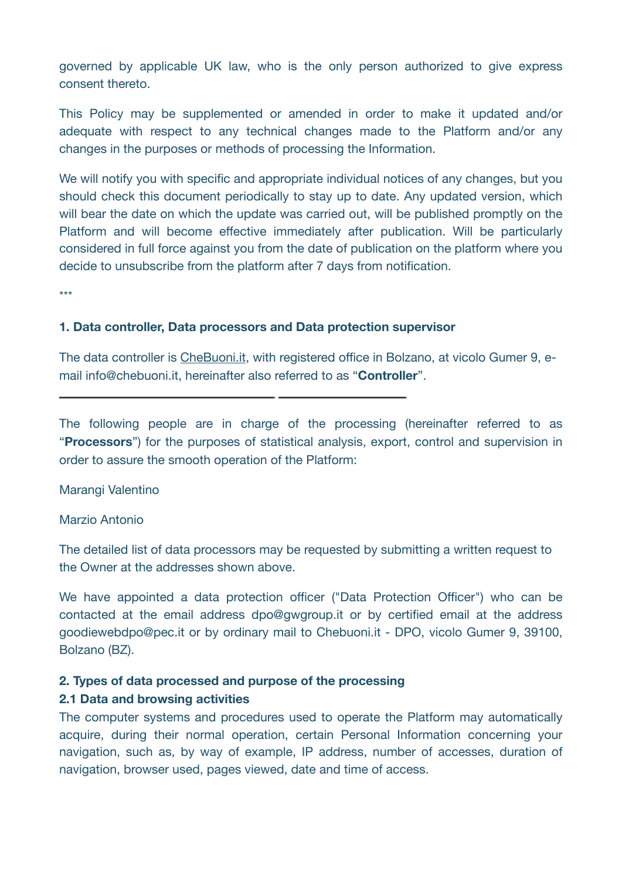governed by applicable UK law, who is the only person authorized to give express consent thereto.

This Policy may be supplemented or amended in order to make it updated and/or adequate with respect to any technical changes made to the Platform and/or any changes in the purposes or methods of processing the Information.

We will notify you with specific and appropriate individual notices of any changes, but you should check this document periodically to stay up to date. Any updated version, which will bear the date on which the update was carried out, will be published promptly on the Platform and will become effective immediately after publication. Will be particularly considered in full force against you from the date of publication on the platform where you decide to unsubscribe from the platform after 7 days from notification.

\*\*\*

#### **1. Data controller, Data processors and Data protection supervisor**

The data controller is [CheBuoni.it](http://CheBuoni.it), with registered office in Bolzano, at vicolo Gumer 9, email info@chebuoni.it, hereinafter also referred to as "**Controller**".

The following people are in charge of the processing (hereinafter referred to as "**Processors**") for the purposes of statistical analysis, export, control and supervision in order to assure the smooth operation of the Platform:

#### Marangi Valentino

#### Marzio Antonio

The detailed list of data processors may be requested by submitting a written request to the Owner at the addresses shown above.

We have appointed a data protection officer ("Data Protection Officer") who can be contacted at the email address dpo@gwgroup.it or by certified email at the address goodiewebdpo@pec.it or by ordinary mail to Chebuoni.it - DPO, vicolo Gumer 9, 39100, Bolzano (BZ).

#### **2. Types of data processed and purpose of the processing**

#### **2.1 Data and browsing activities**

The computer systems and procedures used to operate the Platform may automatically acquire, during their normal operation, certain Personal Information concerning your navigation, such as, by way of example, IP address, number of accesses, duration of navigation, browser used, pages viewed, date and time of access.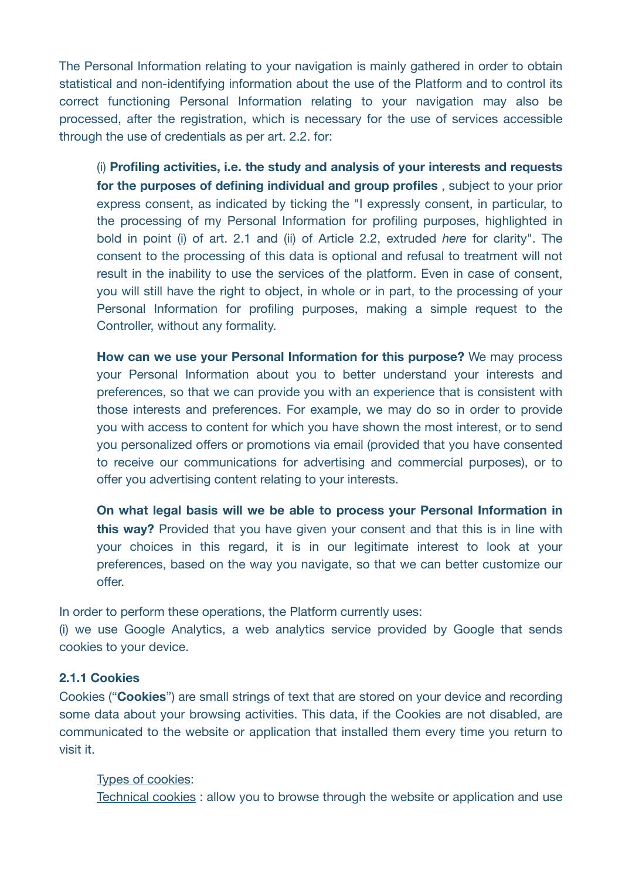The Personal Information relating to your navigation is mainly gathered in order to obtain statistical and non-identifying information about the use of the Platform and to control its correct functioning Personal Information relating to your navigation may also be processed, after the registration, which is necessary for the use of services accessible through the use of credentials as per art. 2.2. for:

(i) **Profiling activities, i.e. the study and analysis of your interests and requests for the purposes of defining individual and group profiles** , subject to your prior express consent, as indicated by ticking the "I expressly consent, in particular, to the processing of my Personal Information for profiling purposes, highlighted in bold in point (i) of art. 2.1 and (ii) of Article 2.2, extruded *here* for clarity". The consent to the processing of this data is optional and refusal to treatment will not result in the inability to use the services of the platform. Even in case of consent, you will still have the right to object, in whole or in part, to the processing of your Personal Information for profiling purposes, making a simple request to the Controller, without any formality.

**How can we use your Personal Information for this purpose?** We may process your Personal Information about you to better understand your interests and preferences, so that we can provide you with an experience that is consistent with those interests and preferences. For example, we may do so in order to provide you with access to content for which you have shown the most interest, or to send you personalized offers or promotions via email (provided that you have consented to receive our communications for advertising and commercial purposes), or to offer you advertising content relating to your interests.

**On what legal basis will we be able to process your Personal Information in this way?** Provided that you have given your consent and that this is in line with your choices in this regard, it is in our legitimate interest to look at your preferences, based on the way you navigate, so that we can better customize our offer.

In order to perform these operations, the Platform currently uses:

(i) we use Google Analytics, a web analytics service provided by Google that sends cookies to your device.

#### **2.1.1 Cookies**

Cookies ("**Cookies**") are small strings of text that are stored on your device and recording some data about your browsing activities. This data, if the Cookies are not disabled, are communicated to the website or application that installed them every time you return to visit it.

#### Types of cookies:

Technical cookies : allow you to browse through the website or application and use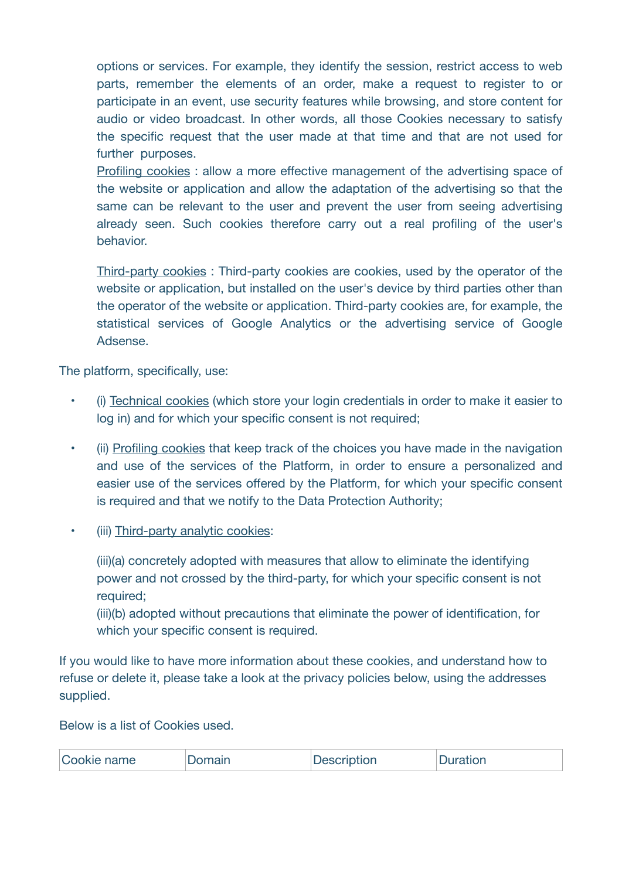options or services. For example, they identify the session, restrict access to web parts, remember the elements of an order, make a request to register to or participate in an event, use security features while browsing, and store content for audio or video broadcast. In other words, all those Cookies necessary to satisfy the specific request that the user made at that time and that are not used for further purposes.

Profiling cookies : allow a more effective management of the advertising space of the website or application and allow the adaptation of the advertising so that the same can be relevant to the user and prevent the user from seeing advertising already seen. Such cookies therefore carry out a real profiling of the user's behavior.

Third-party cookies : Third-party cookies are cookies, used by the operator of the website or application, but installed on the user's device by third parties other than the operator of the website or application. Third-party cookies are, for example, the statistical services of Google Analytics or the advertising service of Google Adsense.

The platform, specifically, use:

- (i) Technical cookies (which store your login credentials in order to make it easier to log in) and for which your specific consent is not required;
- (ii) Profiling cookies that keep track of the choices you have made in the navigation and use of the services of the Platform, in order to ensure a personalized and easier use of the services offered by the Platform, for which your specific consent is required and that we notify to the Data Protection Authority;
- (iii) Third-party analytic cookies:
	- (iii)(a) concretely adopted with measures that allow to eliminate the identifying power and not crossed by the third-party, for which your specific consent is not required;

(iii)(b) adopted without precautions that eliminate the power of identification, for which your specific consent is required.

If you would like to have more information about these cookies, and understand how to refuse or delete it, please take a look at the privacy policies below, using the addresses supplied.

Below is a list of Cookies used.

| Cookie name | <b>Jomain</b> | <b>Description</b> | Duration |
|-------------|---------------|--------------------|----------|
|-------------|---------------|--------------------|----------|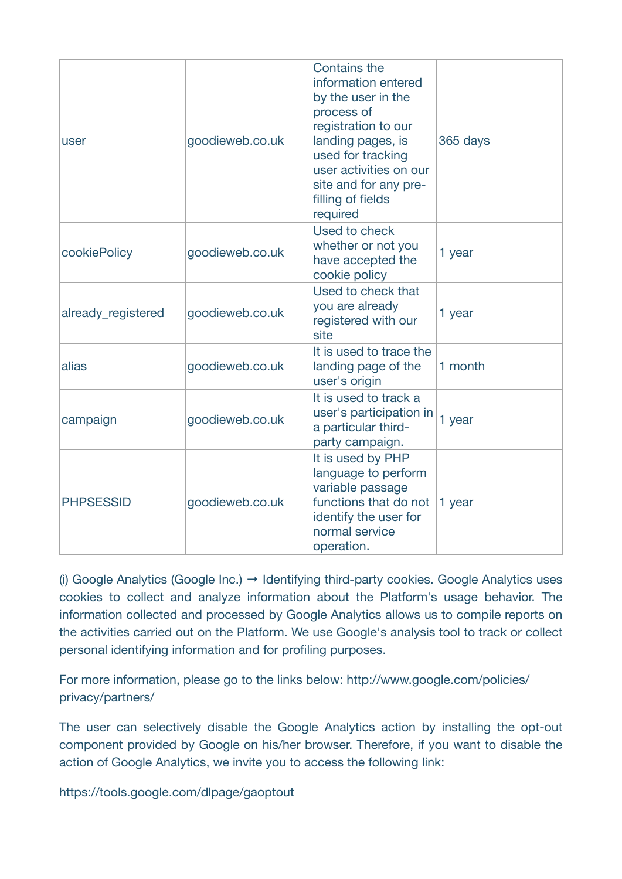| user               | goodieweb.co.uk | <b>Contains the</b><br>information entered<br>by the user in the<br>process of<br>registration to our<br>landing pages, is<br>used for tracking<br>user activities on our<br>site and for any pre-<br>filling of fields<br>required | 365 days |
|--------------------|-----------------|-------------------------------------------------------------------------------------------------------------------------------------------------------------------------------------------------------------------------------------|----------|
| cookiePolicy       | goodieweb.co.uk | Used to check<br>whether or not you<br>have accepted the<br>cookie policy                                                                                                                                                           | 1 year   |
| already_registered | goodieweb.co.uk | Used to check that<br>you are already<br>registered with our<br>site                                                                                                                                                                | 1 year   |
| alias              | goodieweb.co.uk | It is used to trace the<br>landing page of the<br>user's origin                                                                                                                                                                     | 1 month  |
| campaign           | goodieweb.co.uk | It is used to track a<br>user's participation in<br>a particular third-<br>party campaign.                                                                                                                                          | 1 year   |
| <b>PHPSESSID</b>   | goodieweb.co.uk | It is used by PHP<br>language to perform<br>variable passage<br>functions that do not<br>identify the user for<br>normal service<br>operation.                                                                                      | 1 year   |

(i) Google Analytics (Google Inc.)  $\rightarrow$  Identifying third-party cookies. Google Analytics uses cookies to collect and analyze information about the Platform's usage behavior. The information collected and processed by Google Analytics allows us to compile reports on the activities carried out on the Platform. We use Google's analysis tool to track or collect personal identifying information and for profiling purposes.

For more information, please go to the links below: http://www.google.com/policies/ privacy/partners/

The user can selectively disable the Google Analytics action by installing the opt-out component provided by Google on his/her browser. Therefore, if you want to disable the action of Google Analytics, we invite you to access the following link:

https://tools.google.com/dlpage/gaoptout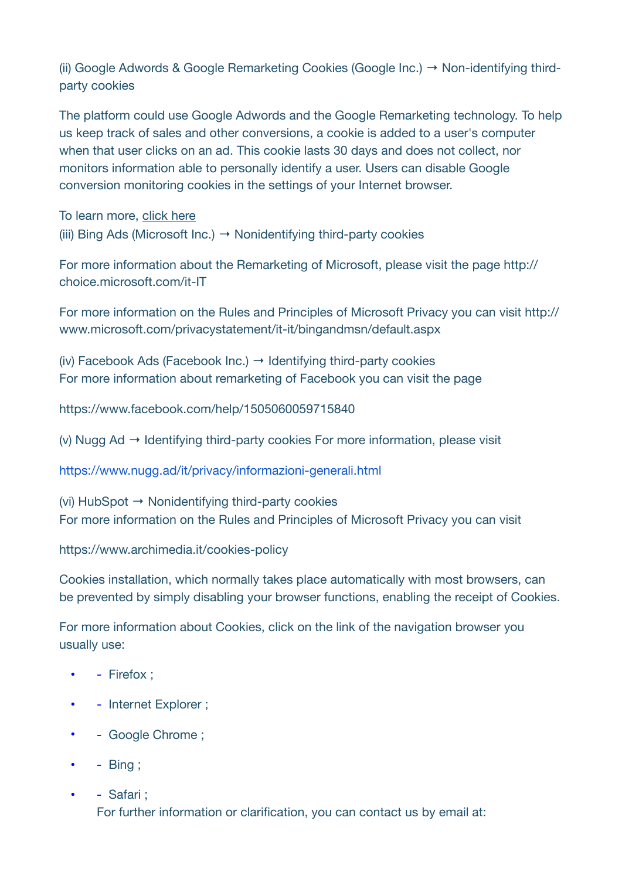(ii) Google Adwords & Google Remarketing Cookies (Google Inc.) → Non-identifying thirdparty cookies

The platform could use Google Adwords and the Google Remarketing technology. To help us keep track of sales and other conversions, a cookie is added to a user's computer when that user clicks on an ad. This cookie lasts 30 days and does not collect, nor monitors information able to personally identify a user. Users can disable Google conversion monitoring cookies in the settings of your Internet browser.

To learn more, [click here](https://support.google.com/google-ads/topic/3121763?hl=it&ref_topic=3119071) (iii) Bing Ads (Microsoft Inc.)  $\rightarrow$  Nonidentifying third-party cookies

For more information about the Remarketing of Microsoft, please visit the page http:// choice.microsoft.com/it-IT

For more information on the Rules and Principles of Microsoft Privacy you can visit http:// www.microsoft.com/privacystatement/it-it/bingandmsn/default.aspx

(iv) Facebook Ads (Facebook Inc.)  $\rightarrow$  Identifying third-party cookies For more information about remarketing of Facebook you can visit the page

https://www.facebook.com/help/1505060059715840

(v) Nugg Ad → Identifying third-party cookies For more information, please visit

https://www.nugg.ad/it/privacy/informazioni-generali.html

(vi) HubSpot → Nonidentifying third-party cookies For more information on the Rules and Principles of Microsoft Privacy you can visit

https://www.archimedia.it/cookies-policy

Cookies installation, which normally takes place automatically with most browsers, can be prevented by simply disabling your browser functions, enabling the receipt of Cookies.

For more information about Cookies, click on the link of the navigation browser you usually use:

- - Firefox :
- - Internet Explorer ;
- - Google Chrome ;
- - Bing ;
- - Safari : For further information or clarification, you can contact us by email at: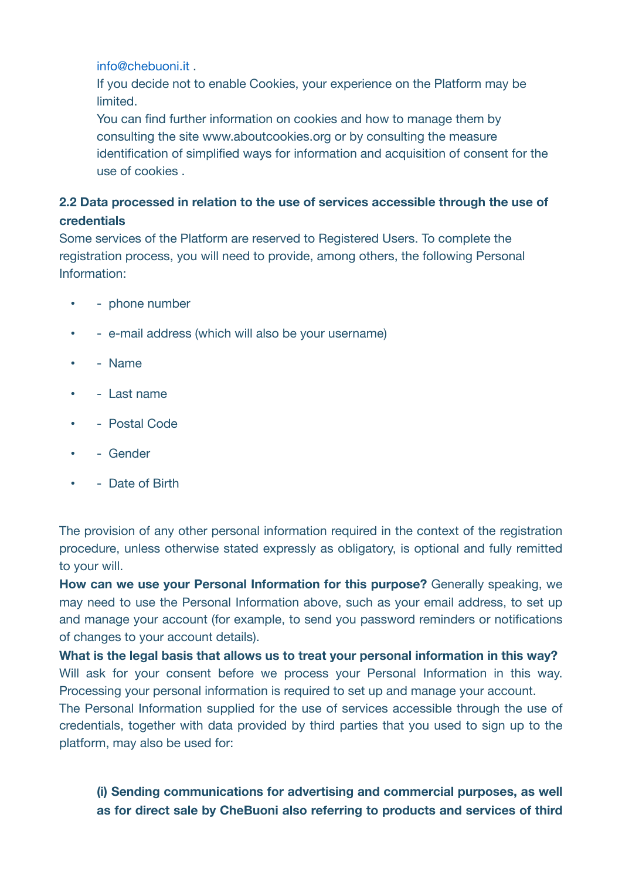info@chebuoni.it .

If you decide not to enable Cookies, your experience on the Platform may be limited.

You can find further information on cookies and how to manage them by consulting the site www.aboutcookies.org or by consulting the measure identification of simplified ways for information and acquisition of consent for the use of cookies .

## **2.2 Data processed in relation to the use of services accessible through the use of credentials**

Some services of the Platform are reserved to Registered Users. To complete the registration process, you will need to provide, among others, the following Personal Information:

- phone number
- e-mail address (which will also be your username)
- - Name
- - Last name
- Postal Code
- - Gender
- - Date of Birth

The provision of any other personal information required in the context of the registration procedure, unless otherwise stated expressly as obligatory, is optional and fully remitted to your will.

**How can we use your Personal Information for this purpose?** Generally speaking, we may need to use the Personal Information above, such as your email address, to set up and manage your account (for example, to send you password reminders or notifications of changes to your account details).

**What is the legal basis that allows us to treat your personal information in this way?**  Will ask for your consent before we process your Personal Information in this way. Processing your personal information is required to set up and manage your account.

The Personal Information supplied for the use of services accessible through the use of credentials, together with data provided by third parties that you used to sign up to the platform, may also be used for:

## **(i) Sending communications for advertising and commercial purposes, as well as for direct sale by CheBuoni also referring to products and services of third**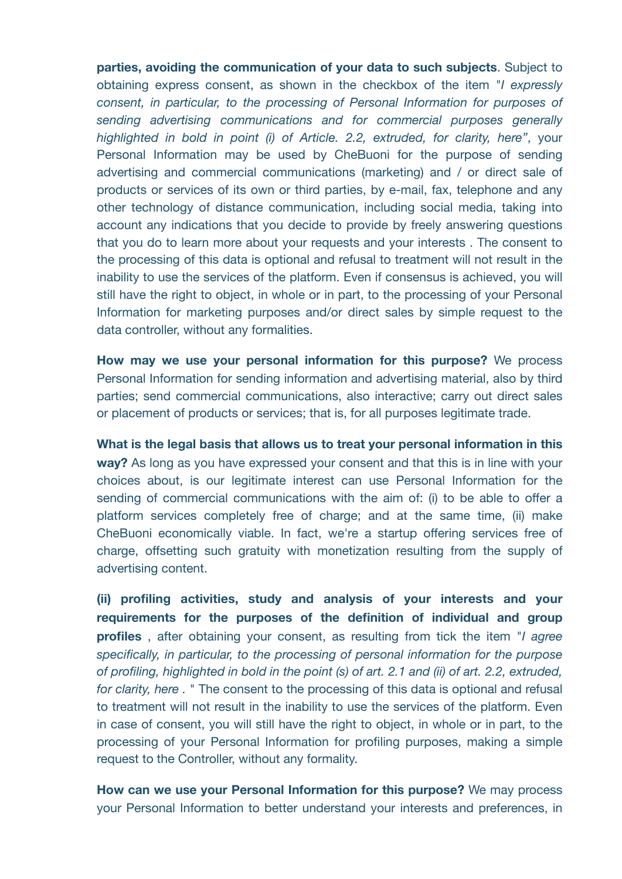**parties, avoiding the communication of your data to such subjects**. Subject to obtaining express consent, as shown in the checkbox of the item "*I expressly consent, in particular, to the processing of Personal Information for purposes of sending advertising communications and for commercial purposes generally highlighted in bold in point (i) of Article. 2.2, extruded, for clarity, here"*, your Personal Information may be used by CheBuoni for the purpose of sending advertising and commercial communications (marketing) and / or direct sale of products or services of its own or third parties, by e-mail, fax, telephone and any other technology of distance communication, including social media, taking into account any indications that you decide to provide by freely answering questions that you do to learn more about your requests and your interests . The consent to the processing of this data is optional and refusal to treatment will not result in the inability to use the services of the platform. Even if consensus is achieved, you will still have the right to object, in whole or in part, to the processing of your Personal Information for marketing purposes and/or direct sales by simple request to the data controller, without any formalities.

**How may we use your personal information for this purpose?** We process Personal Information for sending information and advertising material, also by third parties; send commercial communications, also interactive; carry out direct sales or placement of products or services; that is, for all purposes legitimate trade.

**What is the legal basis that allows us to treat your personal information in this way?** As long as you have expressed your consent and that this is in line with your choices about, is our legitimate interest can use Personal Information for the sending of commercial communications with the aim of: (i) to be able to offer a platform services completely free of charge; and at the same time, (ii) make CheBuoni economically viable. In fact, we're a startup offering services free of charge, offsetting such gratuity with monetization resulting from the supply of advertising content.

**(ii) profiling activities, study and analysis of your interests and your requirements for the purposes of the definition of individual and group profiles** , after obtaining your consent, as resulting from tick the item "*I agree specifically, in particular, to the processing of personal information for the purpose of profiling, highlighted in bold in the point (s) of art. 2.1 and (ii) of art. 2.2, extruded, for clarity, here .* " The consent to the processing of this data is optional and refusal to treatment will not result in the inability to use the services of the platform. Even in case of consent, you will still have the right to object, in whole or in part, to the processing of your Personal Information for profiling purposes, making a simple request to the Controller, without any formality.

**How can we use your Personal Information for this purpose?** We may process your Personal Information to better understand your interests and preferences, in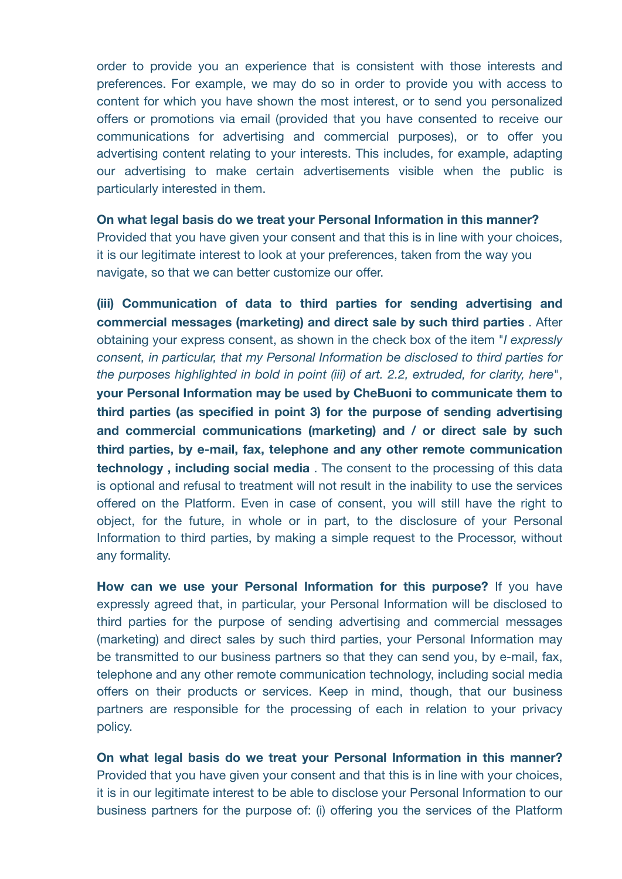order to provide you an experience that is consistent with those interests and preferences. For example, we may do so in order to provide you with access to content for which you have shown the most interest, or to send you personalized offers or promotions via email (provided that you have consented to receive our communications for advertising and commercial purposes), or to offer you advertising content relating to your interests. This includes, for example, adapting our advertising to make certain advertisements visible when the public is particularly interested in them.

**On what legal basis do we treat your Personal Information in this manner?**

Provided that you have given your consent and that this is in line with your choices, it is our legitimate interest to look at your preferences, taken from the way you navigate, so that we can better customize our offer.

**(iii) Communication of data to third parties for sending advertising and commercial messages (marketing) and direct sale by such third parties** . After obtaining your express consent, as shown in the check box of the item "*I expressly consent, in particular, that my Personal Information be disclosed to third parties for the purposes highlighted in bold in point (iii) of art. 2.2, extruded, for clarity, here*", **your Personal Information may be used by CheBuoni to communicate them to third parties (as specified in point 3) for the purpose of sending advertising and commercial communications (marketing) and / or direct sale by such third parties, by e-mail, fax, telephone and any other remote communication technology , including social media** . The consent to the processing of this data is optional and refusal to treatment will not result in the inability to use the services offered on the Platform. Even in case of consent, you will still have the right to object, for the future, in whole or in part, to the disclosure of your Personal Information to third parties, by making a simple request to the Processor, without any formality.

**How can we use your Personal Information for this purpose?** If you have expressly agreed that, in particular, your Personal Information will be disclosed to third parties for the purpose of sending advertising and commercial messages (marketing) and direct sales by such third parties, your Personal Information may be transmitted to our business partners so that they can send you, by e-mail, fax, telephone and any other remote communication technology, including social media offers on their products or services. Keep in mind, though, that our business partners are responsible for the processing of each in relation to your privacy policy.

**On what legal basis do we treat your Personal Information in this manner?**  Provided that you have given your consent and that this is in line with your choices, it is in our legitimate interest to be able to disclose your Personal Information to our business partners for the purpose of: (i) offering you the services of the Platform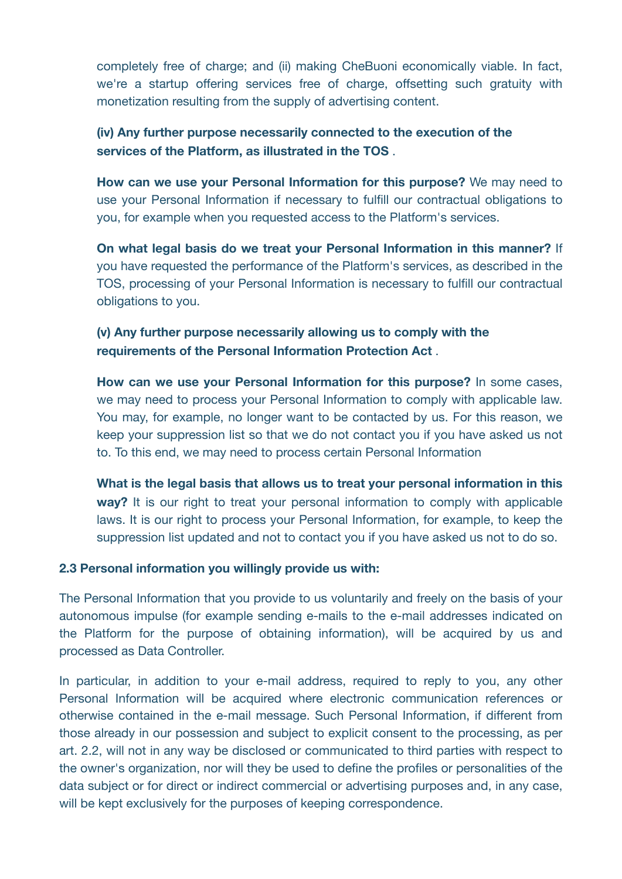completely free of charge; and (ii) making CheBuoni economically viable. In fact, we're a startup offering services free of charge, offsetting such gratuity with monetization resulting from the supply of advertising content.

## **(iv) Any further purpose necessarily connected to the execution of the services of the Platform, as illustrated in the TOS** .

**How can we use your Personal Information for this purpose?** We may need to use your Personal Information if necessary to fulfill our contractual obligations to you, for example when you requested access to the Platform's services.

**On what legal basis do we treat your Personal Information in this manner?** If you have requested the performance of the Platform's services, as described in the TOS, processing of your Personal Information is necessary to fulfill our contractual obligations to you.

## **(v) Any further purpose necessarily allowing us to comply with the requirements of the Personal Information Protection Act** .

**How can we use your Personal Information for this purpose?** In some cases, we may need to process your Personal Information to comply with applicable law. You may, for example, no longer want to be contacted by us. For this reason, we keep your suppression list so that we do not contact you if you have asked us not to. To this end, we may need to process certain Personal Information

**What is the legal basis that allows us to treat your personal information in this way?** It is our right to treat your personal information to comply with applicable laws. It is our right to process your Personal Information, for example, to keep the suppression list updated and not to contact you if you have asked us not to do so.

#### **2.3 Personal information you willingly provide us with:**

The Personal Information that you provide to us voluntarily and freely on the basis of your autonomous impulse (for example sending e-mails to the e-mail addresses indicated on the Platform for the purpose of obtaining information), will be acquired by us and processed as Data Controller.

In particular, in addition to your e-mail address, required to reply to you, any other Personal Information will be acquired where electronic communication references or otherwise contained in the e-mail message. Such Personal Information, if different from those already in our possession and subject to explicit consent to the processing, as per art. 2.2, will not in any way be disclosed or communicated to third parties with respect to the owner's organization, nor will they be used to define the profiles or personalities of the data subject or for direct or indirect commercial or advertising purposes and, in any case, will be kept exclusively for the purposes of keeping correspondence.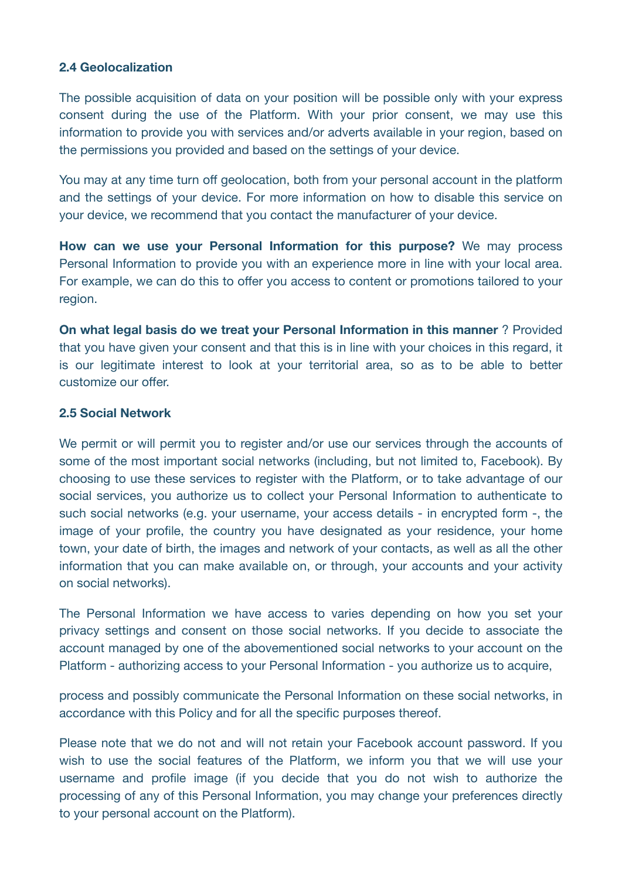#### **2.4 Geolocalization**

The possible acquisition of data on your position will be possible only with your express consent during the use of the Platform. With your prior consent, we may use this information to provide you with services and/or adverts available in your region, based on the permissions you provided and based on the settings of your device.

You may at any time turn off geolocation, both from your personal account in the platform and the settings of your device. For more information on how to disable this service on your device, we recommend that you contact the manufacturer of your device.

**How can we use your Personal Information for this purpose?** We may process Personal Information to provide you with an experience more in line with your local area. For example, we can do this to offer you access to content or promotions tailored to your region.

**On what legal basis do we treat your Personal Information in this manner** ? Provided that you have given your consent and that this is in line with your choices in this regard, it is our legitimate interest to look at your territorial area, so as to be able to better customize our offer.

#### **2.5 Social Network**

We permit or will permit you to register and/or use our services through the accounts of some of the most important social networks (including, but not limited to, Facebook). By choosing to use these services to register with the Platform, or to take advantage of our social services, you authorize us to collect your Personal Information to authenticate to such social networks (e.g. your username, your access details - in encrypted form -, the image of your profile, the country you have designated as your residence, your home town, your date of birth, the images and network of your contacts, as well as all the other information that you can make available on, or through, your accounts and your activity on social networks).

The Personal Information we have access to varies depending on how you set your privacy settings and consent on those social networks. If you decide to associate the account managed by one of the abovementioned social networks to your account on the Platform - authorizing access to your Personal Information - you authorize us to acquire,

process and possibly communicate the Personal Information on these social networks, in accordance with this Policy and for all the specific purposes thereof.

Please note that we do not and will not retain your Facebook account password. If you wish to use the social features of the Platform, we inform you that we will use your username and profile image (if you decide that you do not wish to authorize the processing of any of this Personal Information, you may change your preferences directly to your personal account on the Platform).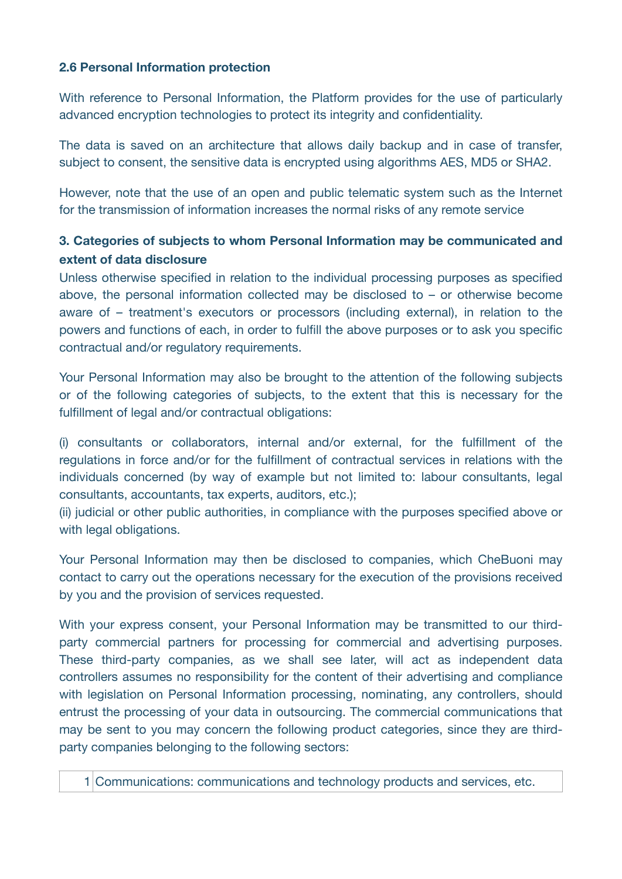#### **2.6 Personal Information protection**

With reference to Personal Information, the Platform provides for the use of particularly advanced encryption technologies to protect its integrity and confidentiality.

The data is saved on an architecture that allows daily backup and in case of transfer, subject to consent, the sensitive data is encrypted using algorithms AES, MD5 or SHA2.

However, note that the use of an open and public telematic system such as the Internet for the transmission of information increases the normal risks of any remote service

## **3. Categories of subjects to whom Personal Information may be communicated and extent of data disclosure**

Unless otherwise specified in relation to the individual processing purposes as specified above, the personal information collected may be disclosed to – or otherwise become aware of – treatment's executors or processors (including external), in relation to the powers and functions of each, in order to fulfill the above purposes or to ask you specific contractual and/or regulatory requirements.

Your Personal Information may also be brought to the attention of the following subjects or of the following categories of subjects, to the extent that this is necessary for the fulfillment of legal and/or contractual obligations:

(i) consultants or collaborators, internal and/or external, for the fulfillment of the regulations in force and/or for the fulfillment of contractual services in relations with the individuals concerned (by way of example but not limited to: labour consultants, legal consultants, accountants, tax experts, auditors, etc.);

(ii) judicial or other public authorities, in compliance with the purposes specified above or with legal obligations.

Your Personal Information may then be disclosed to companies, which CheBuoni may contact to carry out the operations necessary for the execution of the provisions received by you and the provision of services requested.

With your express consent, your Personal Information may be transmitted to our thirdparty commercial partners for processing for commercial and advertising purposes. These third-party companies, as we shall see later, will act as independent data controllers assumes no responsibility for the content of their advertising and compliance with legislation on Personal Information processing, nominating, any controllers, should entrust the processing of your data in outsourcing. The commercial communications that may be sent to you may concern the following product categories, since they are thirdparty companies belonging to the following sectors: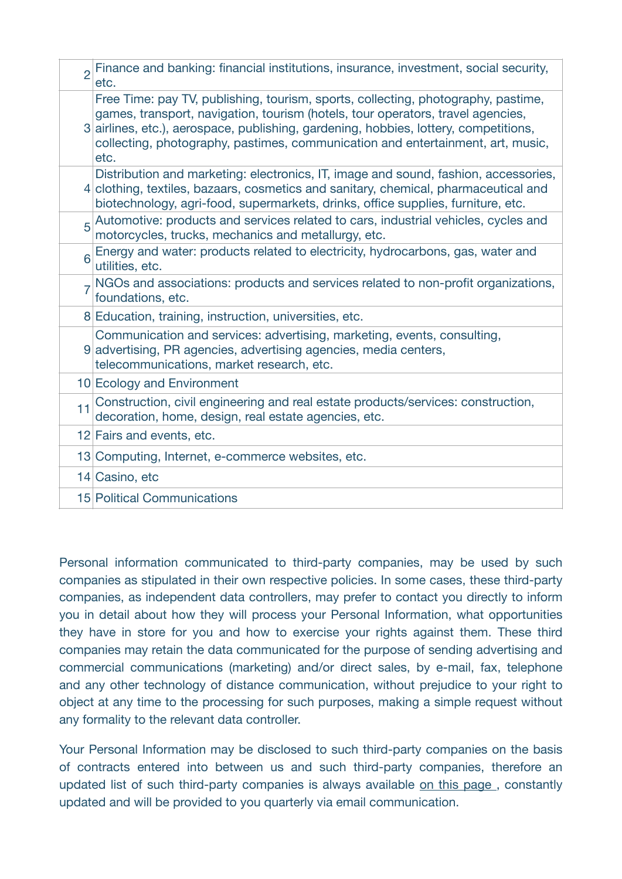| $\overline{2}$ | Finance and banking: financial institutions, insurance, investment, social security,<br>etc.                                                                                                                                                                                                                                                            |
|----------------|---------------------------------------------------------------------------------------------------------------------------------------------------------------------------------------------------------------------------------------------------------------------------------------------------------------------------------------------------------|
|                | Free Time: pay TV, publishing, tourism, sports, collecting, photography, pastime,<br>games, transport, navigation, tourism (hotels, tour operators, travel agencies,<br>3 airlines, etc.), aerospace, publishing, gardening, hobbies, lottery, competitions,<br>collecting, photography, pastimes, communication and entertainment, art, music,<br>etc. |
|                | Distribution and marketing: electronics, IT, image and sound, fashion, accessories,<br>4 clothing, textiles, bazaars, cosmetics and sanitary, chemical, pharmaceutical and<br>biotechnology, agri-food, supermarkets, drinks, office supplies, furniture, etc.                                                                                          |
| 5              | Automotive: products and services related to cars, industrial vehicles, cycles and<br>motorcycles, trucks, mechanics and metallurgy, etc.                                                                                                                                                                                                               |
| 6              | Energy and water: products related to electricity, hydrocarbons, gas, water and<br>utilities, etc.                                                                                                                                                                                                                                                      |
|                | NGOs and associations: products and services related to non-profit organizations,<br>foundations, etc.                                                                                                                                                                                                                                                  |
|                | 8 Education, training, instruction, universities, etc.                                                                                                                                                                                                                                                                                                  |
|                | Communication and services: advertising, marketing, events, consulting,<br>9 advertising, PR agencies, advertising agencies, media centers,<br>telecommunications, market research, etc.                                                                                                                                                                |
|                | 10 Ecology and Environment                                                                                                                                                                                                                                                                                                                              |
| 11             | Construction, civil engineering and real estate products/services: construction,<br>decoration, home, design, real estate agencies, etc.                                                                                                                                                                                                                |
|                | 12 Fairs and events, etc.                                                                                                                                                                                                                                                                                                                               |
|                | 13 Computing, Internet, e-commerce websites, etc.                                                                                                                                                                                                                                                                                                       |
|                | 14 Casino, etc                                                                                                                                                                                                                                                                                                                                          |
|                | 15 Political Communications                                                                                                                                                                                                                                                                                                                             |

Personal information communicated to third-party companies, may be used by such companies as stipulated in their own respective policies. In some cases, these third-party companies, as independent data controllers, may prefer to contact you directly to inform you in detail about how they will process your Personal Information, what opportunities they have in store for you and how to exercise your rights against them. These third companies may retain the data communicated for the purpose of sending advertising and commercial communications (marketing) and/or direct sales, by e-mail, fax, telephone and any other technology of distance communication, without prejudice to your right to object at any time to the processing for such purposes, making a simple request without any formality to the relevant data controller.

Your Personal Information may be disclosed to such third-party companies on the basis of contracts entered into between us and such third-party companies, therefore an updated list of such third-party companies is always available [on this page](http://www.goodieweb.co.uk/privacy-policy/sponsor.html) , constantly updated and will be provided to you quarterly via email communication.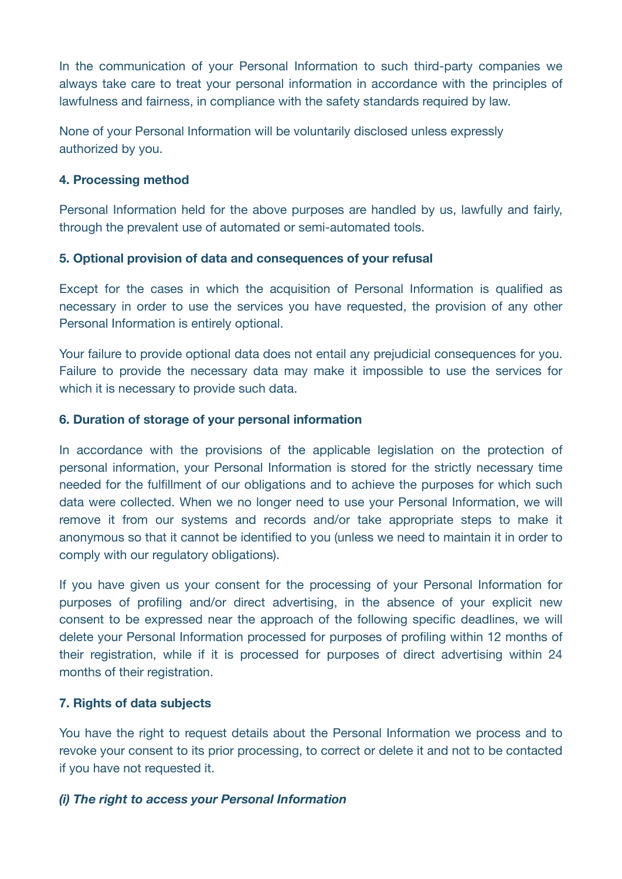In the communication of your Personal Information to such third-party companies we always take care to treat your personal information in accordance with the principles of lawfulness and fairness, in compliance with the safety standards required by law.

None of your Personal Information will be voluntarily disclosed unless expressly authorized by you.

#### **4. Processing method**

Personal Information held for the above purposes are handled by us, lawfully and fairly, through the prevalent use of automated or semi-automated tools.

#### **5. Optional provision of data and consequences of your refusal**

Except for the cases in which the acquisition of Personal Information is qualified as necessary in order to use the services you have requested, the provision of any other Personal Information is entirely optional.

Your failure to provide optional data does not entail any prejudicial consequences for you. Failure to provide the necessary data may make it impossible to use the services for which it is necessary to provide such data.

#### **6. Duration of storage of your personal information**

In accordance with the provisions of the applicable legislation on the protection of personal information, your Personal Information is stored for the strictly necessary time needed for the fulfillment of our obligations and to achieve the purposes for which such data were collected. When we no longer need to use your Personal Information, we will remove it from our systems and records and/or take appropriate steps to make it anonymous so that it cannot be identified to you (unless we need to maintain it in order to comply with our regulatory obligations).

If you have given us your consent for the processing of your Personal Information for purposes of profiling and/or direct advertising, in the absence of your explicit new consent to be expressed near the approach of the following specific deadlines, we will delete your Personal Information processed for purposes of profiling within 12 months of their registration, while if it is processed for purposes of direct advertising within 24 months of their registration.

## **7. Rights of data subjects**

You have the right to request details about the Personal Information we process and to revoke your consent to its prior processing, to correct or delete it and not to be contacted if you have not requested it.

## *(i) The right to access your Personal Information*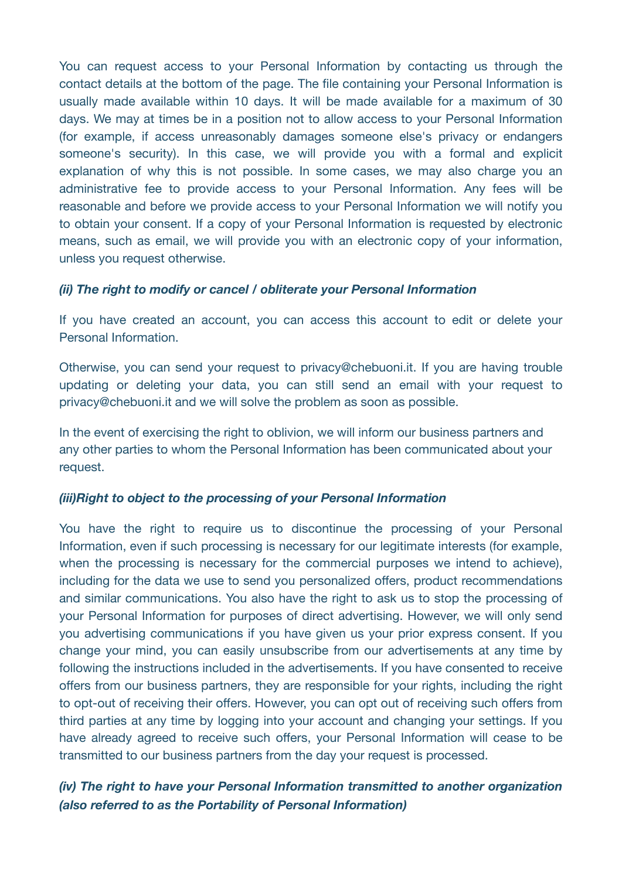You can request access to your Personal Information by contacting us through the contact details at the bottom of the page. The file containing your Personal Information is usually made available within 10 days. It will be made available for a maximum of 30 days. We may at times be in a position not to allow access to your Personal Information (for example, if access unreasonably damages someone else's privacy or endangers someone's security). In this case, we will provide you with a formal and explicit explanation of why this is not possible. In some cases, we may also charge you an administrative fee to provide access to your Personal Information. Any fees will be reasonable and before we provide access to your Personal Information we will notify you to obtain your consent. If a copy of your Personal Information is requested by electronic means, such as email, we will provide you with an electronic copy of your information, unless you request otherwise.

#### *(ii) The right to modify or cancel / obliterate your Personal Information*

If you have created an account, you can access this account to edit or delete your Personal Information.

Otherwise, you can send your request to privacy@chebuoni.it. If you are having trouble updating or deleting your data, you can still send an email with your request to privacy@chebuoni.it and we will solve the problem as soon as possible.

In the event of exercising the right to oblivion, we will inform our business partners and any other parties to whom the Personal Information has been communicated about your request.

#### *(iii)Right to object to the processing of your Personal Information*

You have the right to require us to discontinue the processing of your Personal Information, even if such processing is necessary for our legitimate interests (for example, when the processing is necessary for the commercial purposes we intend to achieve), including for the data we use to send you personalized offers, product recommendations and similar communications. You also have the right to ask us to stop the processing of your Personal Information for purposes of direct advertising. However, we will only send you advertising communications if you have given us your prior express consent. If you change your mind, you can easily unsubscribe from our advertisements at any time by following the instructions included in the advertisements. If you have consented to receive offers from our business partners, they are responsible for your rights, including the right to opt-out of receiving their offers. However, you can opt out of receiving such offers from third parties at any time by logging into your account and changing your settings. If you have already agreed to receive such offers, your Personal Information will cease to be transmitted to our business partners from the day your request is processed.

## *(iv) The right to have your Personal Information transmitted to another organization (also referred to as the Portability of Personal Information)*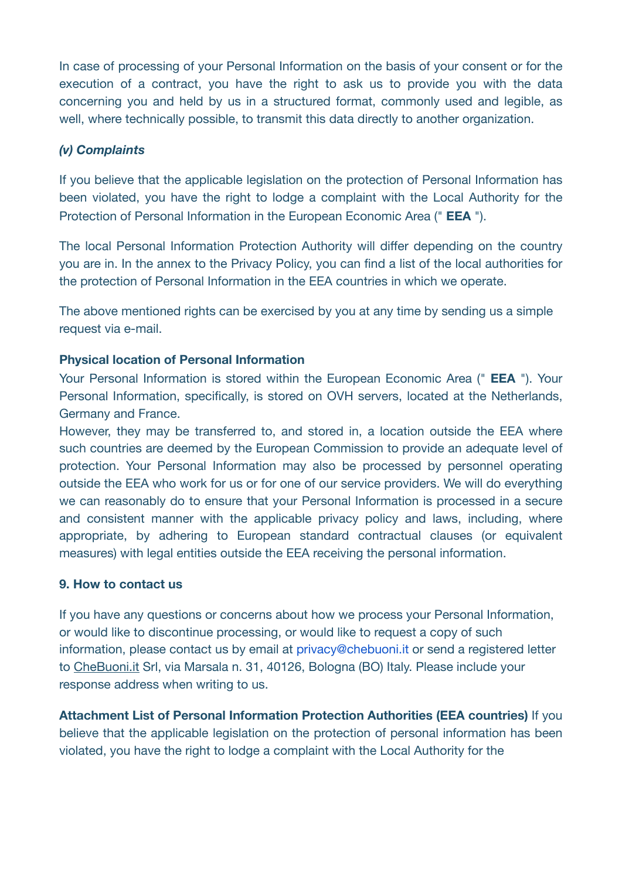In case of processing of your Personal Information on the basis of your consent or for the execution of a contract, you have the right to ask us to provide you with the data concerning you and held by us in a structured format, commonly used and legible, as well, where technically possible, to transmit this data directly to another organization.

## *(v) Complaints*

If you believe that the applicable legislation on the protection of Personal Information has been violated, you have the right to lodge a complaint with the Local Authority for the Protection of Personal Information in the European Economic Area (" **EEA** ").

The local Personal Information Protection Authority will differ depending on the country you are in. In the annex to the Privacy Policy, you can find a list of the local authorities for the protection of Personal Information in the EEA countries in which we operate.

The above mentioned rights can be exercised by you at any time by sending us a simple request via e-mail.

## **Physical location of Personal Information**

Your Personal Information is stored within the European Economic Area (" **EEA** "). Your Personal Information, specifically, is stored on OVH servers, located at the Netherlands, Germany and France.

However, they may be transferred to, and stored in, a location outside the EEA where such countries are deemed by the European Commission to provide an adequate level of protection. Your Personal Information may also be processed by personnel operating outside the EEA who work for us or for one of our service providers. We will do everything we can reasonably do to ensure that your Personal Information is processed in a secure and consistent manner with the applicable privacy policy and laws, including, where appropriate, by adhering to European standard contractual clauses (or equivalent measures) with legal entities outside the EEA receiving the personal information.

#### **9. How to contact us**

If you have any questions or concerns about how we process your Personal Information, or would like to discontinue processing, or would like to request a copy of such information, please contact us by email at privacy@chebuoni.it or send a registered letter to [CheBuoni.it](http://CheBuoni.it) Srl, via Marsala n. 31, 40126, Bologna (BO) Italy. Please include your response address when writing to us.

**Attachment List of Personal Information Protection Authorities (EEA countries)** If you believe that the applicable legislation on the protection of personal information has been violated, you have the right to lodge a complaint with the Local Authority for the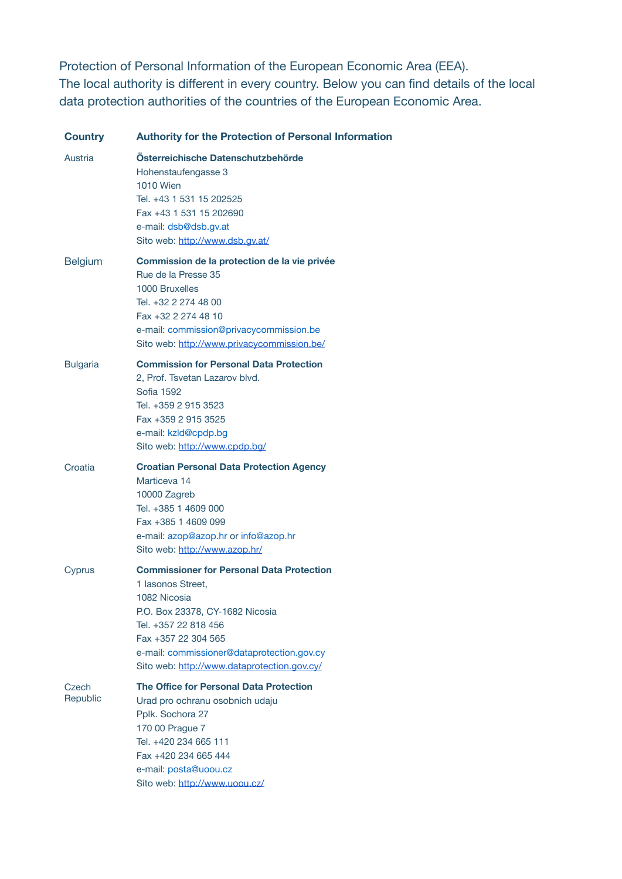Protection of Personal Information of the European Economic Area (EEA). The local authority is different in every country. Below you can find details of the local data protection authorities of the countries of the European Economic Area.

| <b>Country</b>    | <b>Authority for the Protection of Personal Information</b>                                                                                                                                                                                                          |
|-------------------|----------------------------------------------------------------------------------------------------------------------------------------------------------------------------------------------------------------------------------------------------------------------|
| Austria           | Osterreichische Datenschutzbehörde<br>Hohenstaufengasse 3<br><b>1010 Wien</b><br>Tel. +43 1 531 15 202525<br>Fax +43 1 531 15 202690<br>e-mail: dsb@dsb.gv.at<br>Sito web: http://www.dsb.gv.at/                                                                     |
| <b>Belgium</b>    | Commission de la protection de la vie privée<br>Rue de la Presse 35<br>1000 Bruxelles<br>Tel. +32 2 274 48 00<br>Fax +32 2 274 48 10<br>e-mail: commission@privacycommission.be<br>Sito web: http://www.privacycommission.be/                                        |
| <b>Bulgaria</b>   | <b>Commission for Personal Data Protection</b><br>2, Prof. Tsvetan Lazarov blvd.<br>Sofia 1592<br>Tel. +359 2 915 3523<br>Fax +359 2 915 3525<br>e-mail: kzld@cpdp.bg<br>Sito web: http://www.cpdp.bg/                                                               |
| Croatia           | <b>Croatian Personal Data Protection Agency</b><br>Marticeva 14<br>10000 Zagreb<br>Tel. +385 1 4609 000<br>Fax +385 1 4609 099<br>e-mail: azop@azop.hr or info@azop.hr<br>Sito web: http://www.azop.hr/                                                              |
| Cyprus            | <b>Commissioner for Personal Data Protection</b><br>1 Iasonos Street,<br>1082 Nicosia<br>P.O. Box 23378, CY-1682 Nicosia<br>Tel. +357 22 818 456<br>Fax +357 22 304 565<br>e-mail: commissioner@dataprotection.gov.cy<br>Sito web: http://www.dataprotection.gov.cy/ |
| Czech<br>Republic | The Office for Personal Data Protection<br>Urad pro ochranu osobnich udaju<br>Pplk. Sochora 27<br>170 00 Prague 7<br>Tel. +420 234 665 111<br>Fax +420 234 665 444<br>e-mail: posta@uoou.cz<br>Sito web: http://www.uoou.cz/                                         |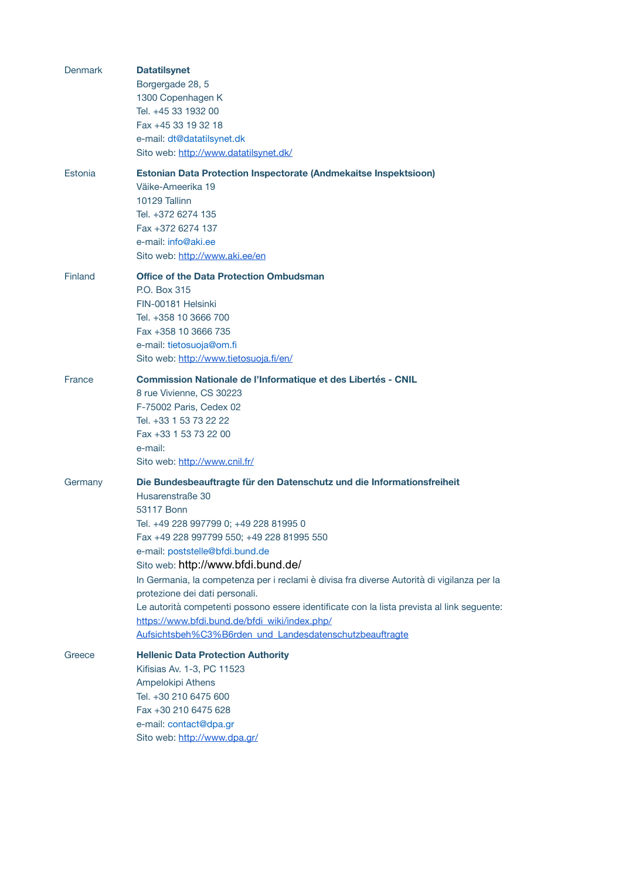| <b>Denmark</b> | <b>Datatilsynet</b><br>Borgergade 28, 5<br>1300 Copenhagen K<br>Tel. +45 33 1932 00<br>Fax +45 33 19 32 18<br>e-mail: dt@datatilsynet.dk<br>Sito web: http://www.datatilsynet.dk/                                                                                                                                                                                                                                                                                                                                                                                                                                  |
|----------------|--------------------------------------------------------------------------------------------------------------------------------------------------------------------------------------------------------------------------------------------------------------------------------------------------------------------------------------------------------------------------------------------------------------------------------------------------------------------------------------------------------------------------------------------------------------------------------------------------------------------|
| Estonia        | <b>Estonian Data Protection Inspectorate (Andmekaitse Inspektsioon)</b><br>Väike-Ameerika 19<br>10129 Tallinn<br>Tel. +372 6274 135<br>Fax +372 6274 137<br>e-mail: info@aki.ee<br>Sito web: http://www.aki.ee/en                                                                                                                                                                                                                                                                                                                                                                                                  |
| Finland        | <b>Office of the Data Protection Ombudsman</b><br>P.O. Box 315<br>FIN-00181 Helsinki<br>Tel. +358 10 3666 700<br>Fax +358 10 3666 735<br>e-mail: tietosuoja@om.fi<br>Sito web: http://www.tietosuoja.fi/en/                                                                                                                                                                                                                                                                                                                                                                                                        |
| France         | Commission Nationale de l'Informatique et des Libertés - CNIL<br>8 rue Vivienne, CS 30223<br>F-75002 Paris, Cedex 02<br>Tel. +33 1 53 73 22 22<br>Fax +33 1 53 73 22 00<br>e-mail:<br>Sito web: http://www.cnil.fr/                                                                                                                                                                                                                                                                                                                                                                                                |
| Germany        | Die Bundesbeauftragte für den Datenschutz und die Informationsfreiheit<br>Husarenstraße 30<br>53117 Bonn<br>Tel. +49 228 997799 0; +49 228 81995 0<br>Fax +49 228 997799 550; +49 228 81995 550<br>e-mail: poststelle@bfdi.bund.de<br>Sito web: http://www.bfdi.bund.de/<br>In Germania, la competenza per i reclami è divisa fra diverse Autorità di vigilanza per la<br>protezione dei dati personali.<br>Le autorità competenti possono essere identificate con la lista prevista al link seguente:<br>https://www.bfdi.bund.de/bfdi_wiki/index.php/<br>Aufsichtsbeh%C3%B6rden_und_Landesdatenschutzbeauftragte |
| Greece         | <b>Hellenic Data Protection Authority</b><br>Kifisias Av. 1-3, PC 11523<br>Ampelokipi Athens<br>Tel. +30 210 6475 600<br>Fax +30 210 6475 628<br>e-mail: contact@dpa.gr<br>Sito web: http://www.dpa.gr/                                                                                                                                                                                                                                                                                                                                                                                                            |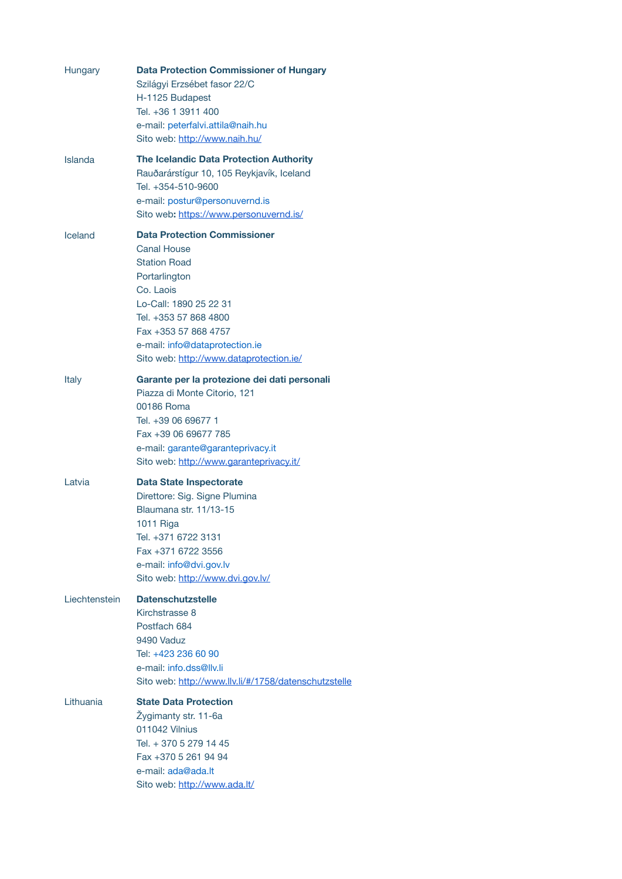| Hungary        | <b>Data Protection Commissioner of Hungary</b><br>Szilágyi Erzsébet fasor 22/C<br>H-1125 Budapest<br>Tel. +36 1 3911 400<br>e-mail: peterfalvi.attila@naih.hu<br>Sito web: http://www.naih.hu/                                                                         |
|----------------|------------------------------------------------------------------------------------------------------------------------------------------------------------------------------------------------------------------------------------------------------------------------|
| <b>Islanda</b> | The Icelandic Data Protection Authority<br>Rauðarárstígur 10, 105 Reykjavík, Iceland<br>Tel. +354-510-9600<br>e-mail: postur@personuvernd.is<br>Sito web: https://www.personuvernd.is/                                                                                 |
| Iceland        | <b>Data Protection Commissioner</b><br><b>Canal House</b><br><b>Station Road</b><br>Portarlington<br>Co. Laois<br>Lo-Call: 1890 25 22 31<br>Tel. +353 57 868 4800<br>Fax +353 57 868 4757<br>e-mail: info@dataprotection.ie<br>Sito web: http://www.dataprotection.ie/ |
| Italy          | Garante per la protezione dei dati personali<br>Piazza di Monte Citorio, 121<br>00186 Roma<br>Tel. +39 06 69677 1<br>Fax +39 06 69677 785<br>e-mail: garante@garanteprivacy.it<br>Sito web: http://www.garanteprivacy.it/                                              |
| I atvia        | <b>Data State Inspectorate</b><br>Direttore: Sig. Signe Plumina<br>Blaumana str. 11/13-15<br>1011 Riga<br>Tel. +371 6722 3131<br>Fax +371 6722 3556<br>e-mail: info@dvi.gov.lv<br>Sito web: http://www.dvi.gov.lv/                                                     |
| Liechtenstein  | <b>Datenschutzstelle</b><br>Kirchstrasse 8<br>Postfach 684<br>9490 Vaduz<br>Tel: +423 236 60 90<br>e-mail: info.dss@llv.li<br>Sito web: http://www.llv.li/#/1758/datenschutzstelle                                                                                     |
| Lithuania      | <b>State Data Protection</b><br>Žygimanty str. 11-6a<br>011042 Vilnius<br>Tel. + 370 5 279 14 45<br>Fax +370 5 261 94 94<br>e-mail: ada@ada.lt<br>Sito web: http://www.ada.lt/                                                                                         |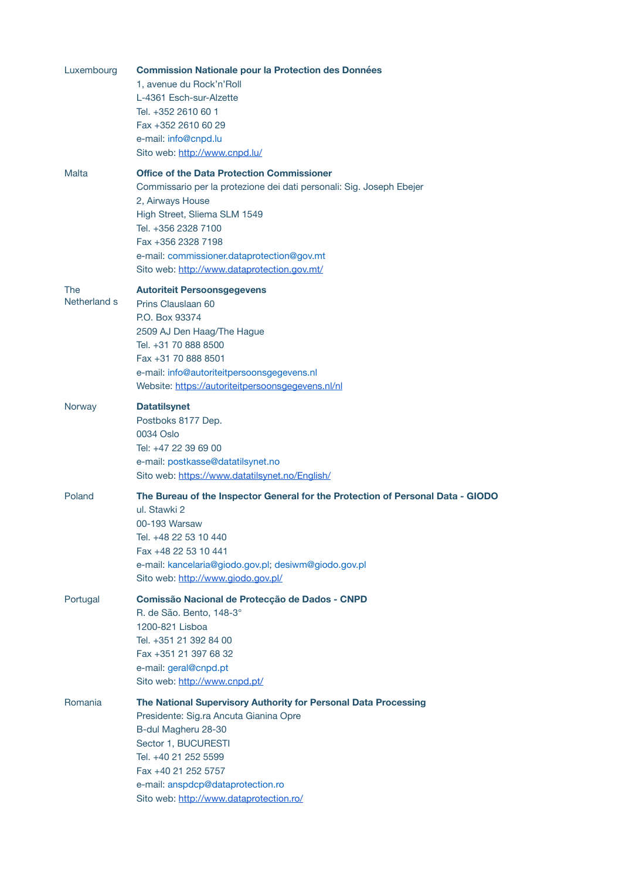| Luxembourg                 | <b>Commission Nationale pour la Protection des Données</b><br>1, avenue du Rock'n'Roll<br>L-4361 Esch-sur-Alzette<br>Tel. +352 2610 60 1<br>Fax +352 2610 60 29<br>e-mail: info@cnpd.lu                                                                                                                                                                  |
|----------------------------|----------------------------------------------------------------------------------------------------------------------------------------------------------------------------------------------------------------------------------------------------------------------------------------------------------------------------------------------------------|
| <b>Malta</b>               | Sito web: http://www.cnpd.lu/<br><b>Office of the Data Protection Commissioner</b><br>Commissario per la protezione dei dati personali: Sig. Joseph Ebejer<br>2, Airways House<br>High Street, Sliema SLM 1549<br>Tel. +356 2328 7100<br>Fax +356 2328 7198<br>e-mail: commissioner.dataprotection@gov.mt<br>Sito web: http://www.dataprotection.gov.mt/ |
| <b>The</b><br>Netherland s | <b>Autoriteit Persoonsgegevens</b><br>Prins Clauslaan 60<br>P.O. Box 93374<br>2509 AJ Den Haag/The Hague<br>Tel. +31 70 888 8500<br>Fax +31 70 888 8501<br>e-mail: info@autoriteitpersoonsgegevens.nl<br>Website: https://autoriteitpersoonsgegevens.nl/nl                                                                                               |
| Norway                     | <b>Datatilsynet</b><br>Postboks 8177 Dep.<br>0034 Oslo<br>Tel: +47 22 39 69 00<br>e-mail: postkasse@datatilsynet.no<br>Sito web: https://www.datatilsynet.no/English/                                                                                                                                                                                    |
| Poland                     | The Bureau of the Inspector General for the Protection of Personal Data - GIODO<br>ul. Stawki 2<br>00-193 Warsaw<br>Tel. +48 22 53 10 440<br>Fax +48 22 53 10 441<br>e-mail: kancelaria@giodo.gov.pl; desiwm@giodo.gov.pl<br>Sito web: http://www.giodo.gov.pl/                                                                                          |
| Portugal                   | Comissão Nacional de Protecção de Dados - CNPD<br>R. de São. Bento, 148-3°<br>1200-821 Lisboa<br>Tel. +351 21 392 84 00<br>Fax +351 21 397 68 32<br>e-mail: geral@cnpd.pt<br>Sito web: http://www.cnpd.pt/                                                                                                                                               |
| Romania                    | The National Supervisory Authority for Personal Data Processing<br>Presidente: Sig.ra Ancuta Gianina Opre<br>B-dul Magheru 28-30<br>Sector 1, BUCURESTI<br>Tel. +40 21 252 5599<br>Fax +40 21 252 5757<br>e-mail: anspdcp@dataprotection.ro<br>Sito web: http://www.dataprotection.ro/                                                                   |